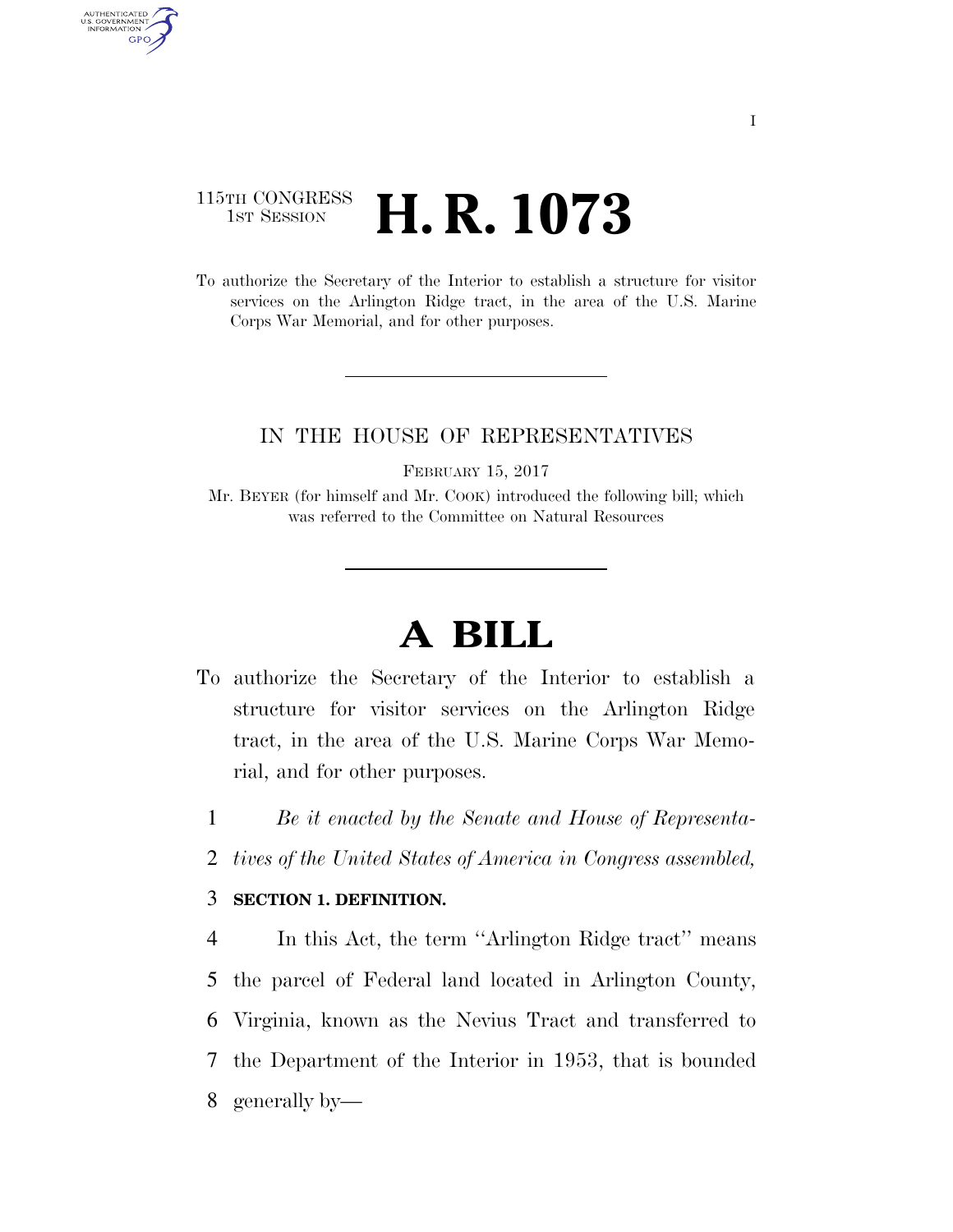## 115TH CONGRESS <sup>TH CONGRESS</sup> **H. R. 1073**

AUTHENTICATED<br>U.S. GOVERNMENT<br>INFORMATION **GPO** 

> To authorize the Secretary of the Interior to establish a structure for visitor services on the Arlington Ridge tract, in the area of the U.S. Marine Corps War Memorial, and for other purposes.

## IN THE HOUSE OF REPRESENTATIVES

FEBRUARY 15, 2017

Mr. BEYER (for himself and Mr. COOK) introduced the following bill; which was referred to the Committee on Natural Resources

## **A BILL**

- To authorize the Secretary of the Interior to establish a structure for visitor services on the Arlington Ridge tract, in the area of the U.S. Marine Corps War Memorial, and for other purposes.
	- 1 *Be it enacted by the Senate and House of Representa-*
	- 2 *tives of the United States of America in Congress assembled,*

## 3 **SECTION 1. DEFINITION.**

 In this Act, the term ''Arlington Ridge tract'' means the parcel of Federal land located in Arlington County, Virginia, known as the Nevius Tract and transferred to the Department of the Interior in 1953, that is bounded generally by—